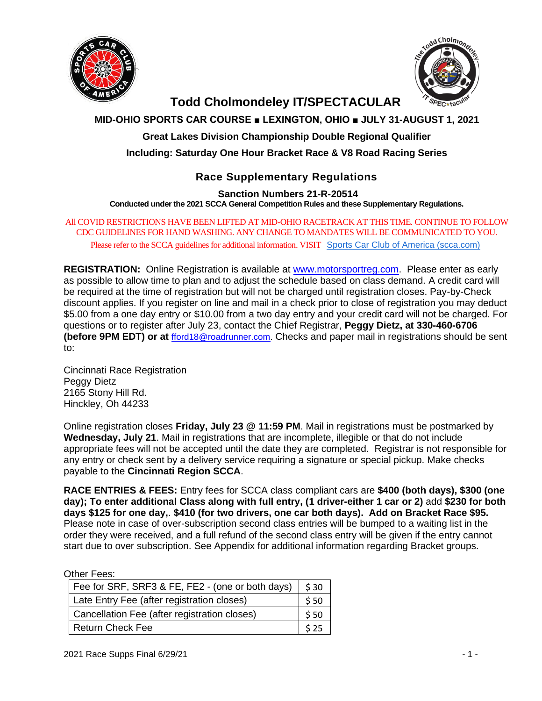



# **Todd Cholmondeley IT/SPECTACULAR**

# **MID-OHIO SPORTS CAR COURSE ■ LEXINGTON, OHIO ■ JULY 31-AUGUST 1, 2021**

**Great Lakes Division Championship Double Regional Qualifier**

**Including: Saturday One Hour Bracket Race & V8 Road Racing Series** 

# **Race Supplementary Regulations**

**Sanction Numbers 21-R-20514**

**Conducted under the 2021 SCCA General Competition Rules and these Supplementary Regulations.**

All COVID RESTRICTIONS HAVE BEEN LIFTED AT MID-OHIO RACETRACK AT THIS TIME. CONTINUE TO FOLLOW CDC GUIDELINES FOR HAND WASHING. ANY CHANGE TO MANDATES WILL BE COMMUNICATED TO YOU. Please refer to the SCCA guidelines for additional information. VISIT [Sports Car Club of America \(scca.com\)](https://www.scca.com/pages/covid-19-event-guidelines?utm_medium=email&utm_campaign=2021_0518_Up-To-Speed_Newsletter&utm_content=2021_0518_Up-To-Speed_Newsletter+CID_10db3a884497a313efdb59069fb7c5d4&utm_source=CM&utm_term=COVID-19%20Event%20Guidelines%20Update)

**REGISTRATION:** Online Registration is available at [www.motorsportreg.com.](http://www.motorsportreg.com/) Please enter as early as possible to allow time to plan and to adjust the schedule based on class demand. A credit card will be required at the time of registration but will not be charged until registration closes. Pay-by-Check discount applies. If you register on line and mail in a check prior to close of registration you may deduct \$5.00 from a one day entry or \$10.00 from a two day entry and your credit card will not be charged. For questions or to register after July 23, contact the Chief Registrar, **Peggy Dietz, at 330-460-6706 (before 9PM EDT) or at** [fford18@roadrunner.com.](mailto:fford18@roadrunner.com) Checks and paper mail in registrations should be sent to:

Cincinnati Race Registration Peggy Dietz 2165 Stony Hill Rd. Hinckley, Oh 44233

Online registration closes **Friday, July 23 @ 11:59 PM**. Mail in registrations must be postmarked by **Wednesday, July 21**. Mail in registrations that are incomplete, illegible or that do not include appropriate fees will not be accepted until the date they are completed. Registrar is not responsible for any entry or check sent by a delivery service requiring a signature or special pickup. Make checks payable to the **Cincinnati Region SCCA**.

**RACE ENTRIES & FEES:** Entry fees for SCCA class compliant cars are **\$400 (both days), \$300 (one day); To enter additional Class along with full entry, (1 driver-either 1 car or 2)** add **\$230 for both days \$125 for one day,**. **\$410 (for two drivers, one car both days). Add on Bracket Race \$95.**  Please note in case of over-subscription second class entries will be bumped to a waiting list in the order they were received, and a full refund of the second class entry will be given if the entry cannot start due to over subscription. See Appendix for additional information regarding Bracket groups.

Other Fees:

| Fee for SRF, SRF3 & FE, FE2 - (one or both days) | \$30 |
|--------------------------------------------------|------|
| Late Entry Fee (after registration closes)       | \$50 |
| Cancellation Fee (after registration closes)     |      |
| <b>Return Check Fee</b>                          | 525  |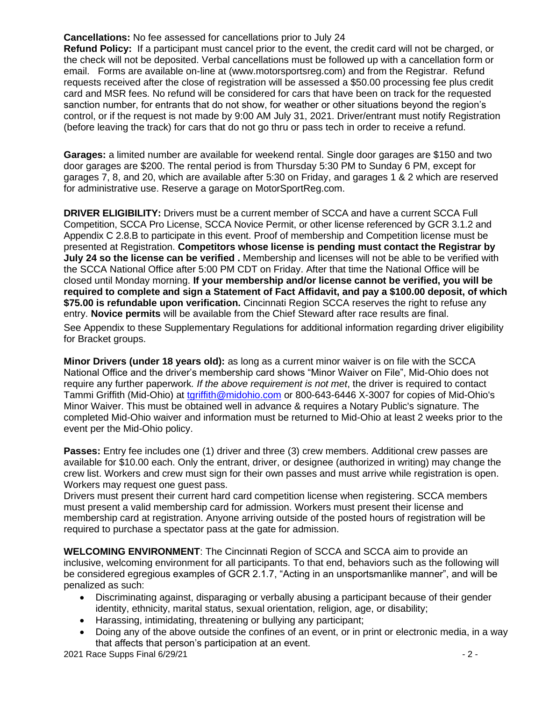**Cancellations:** No fee assessed for cancellations prior to July 24

**Refund Policy:** If a participant must cancel prior to the event, the credit card will not be charged, or the check will not be deposited. Verbal cancellations must be followed up with a cancellation form or email. Forms are available on-line at (www.motorsportsreg.com) and from the Registrar. Refund requests received after the close of registration will be assessed a \$50.00 processing fee plus credit card and MSR fees. No refund will be considered for cars that have been on track for the requested sanction number, for entrants that do not show, for weather or other situations beyond the region's control, or if the request is not made by 9:00 AM July 31, 2021. Driver/entrant must notify Registration (before leaving the track) for cars that do not go thru or pass tech in order to receive a refund.

**Garages:** a limited number are available for weekend rental. Single door garages are \$150 and two door garages are \$200. The rental period is from Thursday 5:30 PM to Sunday 6 PM, except for garages 7, 8, and 20, which are available after 5:30 on Friday, and garages 1 & 2 which are reserved for administrative use. Reserve a garage on MotorSportReg.com.

**DRIVER ELIGIBILITY:** Drivers must be a current member of SCCA and have a current SCCA Full Competition, SCCA Pro License, SCCA Novice Permit, or other license referenced by GCR 3.1.2 and Appendix C 2.8.B to participate in this event. Proof of membership and Competition license must be presented at Registration. **Competitors whose license is pending must contact the Registrar by July 24 so the license can be verified .** Membership and licenses will not be able to be verified with the SCCA National Office after 5:00 PM CDT on Friday. After that time the National Office will be closed until Monday morning. **If your membership and/or license cannot be verified, you will be required to complete and sign a Statement of Fact Affidavit, and pay a \$100.00 deposit, of which \$75.00 is refundable upon verification.** Cincinnati Region SCCA reserves the right to refuse any entry. **Novice permits** will be available from the Chief Steward after race results are final.

See Appendix to these Supplementary Regulations for additional information regarding driver eligibility for Bracket groups.

**Minor Drivers (under 18 years old):** as long as a current minor waiver is on file with the SCCA National Office and the driver's membership card shows "Minor Waiver on File", Mid-Ohio does not require any further paperwork*. If the above requirement is not met*, the driver is required to contact Tammi Griffith (Mid-Ohio) at [tgriffith@midohio.com](mailto:bhannan@midohio.com) or 800-643-6446 X-3007 for copies of Mid-Ohio's Minor Waiver. This must be obtained well in advance & requires a Notary Public's signature. The completed Mid-Ohio waiver and information must be returned to Mid-Ohio at least 2 weeks prior to the event per the Mid-Ohio policy.

**Passes:** Entry fee includes one (1) driver and three (3) crew members. Additional crew passes are available for \$10.00 each. Only the entrant, driver, or designee (authorized in writing) may change the crew list. Workers and crew must sign for their own passes and must arrive while registration is open. Workers may request one guest pass.

Drivers must present their current hard card competition license when registering. SCCA members must present a valid membership card for admission. Workers must present their license and membership card at registration. Anyone arriving outside of the posted hours of registration will be required to purchase a spectator pass at the gate for admission.

**WELCOMING ENVIRONMENT**: The Cincinnati Region of SCCA and SCCA aim to provide an inclusive, welcoming environment for all participants. To that end, behaviors such as the following will be considered egregious examples of GCR 2.1.7, "Acting in an unsportsmanlike manner", and will be penalized as such:

- Discriminating against, disparaging or verbally abusing a participant because of their gender identity, ethnicity, marital status, sexual orientation, religion, age, or disability;
- Harassing, intimidating, threatening or bullying any participant;
- Doing any of the above outside the confines of an event, or in print or electronic media, in a way that affects that person's participation at an event.

2021 Race Supps Final 6/29/21 - 2 -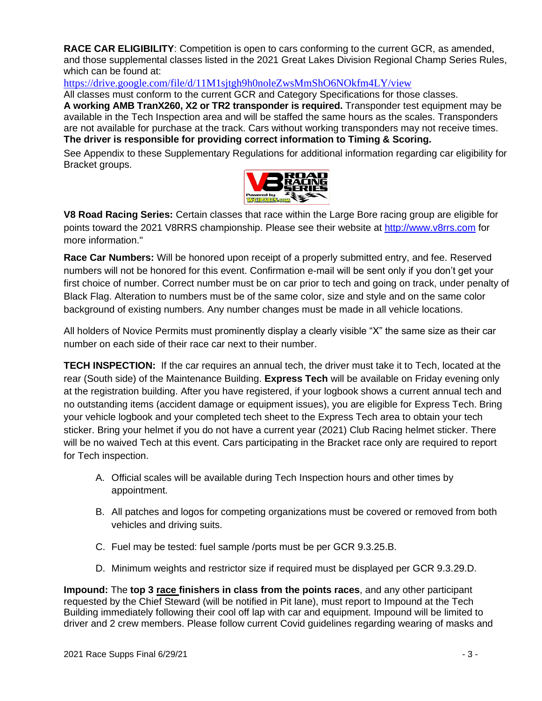**RACE CAR ELIGIBILITY**: Competition is open to cars conforming to the current GCR, as amended, and those supplemental classes listed in the 2021 Great Lakes Division Regional Champ Series Rules, which can be found at:

<https://drive.google.com/file/d/11M1sjtgh9h0noleZwsMmShO6NOkfm4LY/view>

All classes must conform to the current GCR and Category Specifications for those classes.

**A working AMB TranX260, X2 or TR2 transponder is required.** Transponder test equipment may be available in the Tech Inspection area and will be staffed the same hours as the scales. Transponders are not available for purchase at the track. Cars without working transponders may not receive times. **The driver is responsible for providing correct information to Timing & Scoring.**

See Appendix to these Supplementary Regulations for additional information regarding car eligibility for Bracket groups.



**V8 Road Racing Series:** Certain classes that race within the Large Bore racing group are eligible for points toward the 2021 V8RRS championship. Please see their website at [http://www.v8rrs.com](http://www.v8rrs.com/) for more information."

**Race Car Numbers:** Will be honored upon receipt of a properly submitted entry, and fee. Reserved numbers will not be honored for this event. Confirmation e-mail will be sent only if you don't get your first choice of number. Correct number must be on car prior to tech and going on track, under penalty of Black Flag. Alteration to numbers must be of the same color, size and style and on the same color background of existing numbers. Any number changes must be made in all vehicle locations.

All holders of Novice Permits must prominently display a clearly visible "X" the same size as their car number on each side of their race car next to their number.

**TECH INSPECTION:** If the car requires an annual tech, the driver must take it to Tech, located at the rear (South side) of the Maintenance Building. **Express Tech** will be available on Friday evening only at the registration building. After you have registered, if your logbook shows a current annual tech and no outstanding items (accident damage or equipment issues), you are eligible for Express Tech. Bring your vehicle logbook and your completed tech sheet to the Express Tech area to obtain your tech sticker. Bring your helmet if you do not have a current year (2021) Club Racing helmet sticker. There will be no waived Tech at this event. Cars participating in the Bracket race only are required to report for Tech inspection.

- A. Official scales will be available during Tech Inspection hours and other times by appointment.
- B. All patches and logos for competing organizations must be covered or removed from both vehicles and driving suits.
- C. Fuel may be tested: fuel sample /ports must be per GCR 9.3.25.B.
- D. Minimum weights and restrictor size if required must be displayed per GCR 9.3.29.D.

**Impound:** The **top 3 race finishers in class from the points races**, and any other participant requested by the Chief Steward (will be notified in Pit lane), must report to Impound at the Tech Building immediately following their cool off lap with car and equipment. Impound will be limited to driver and 2 crew members. Please follow current Covid guidelines regarding wearing of masks and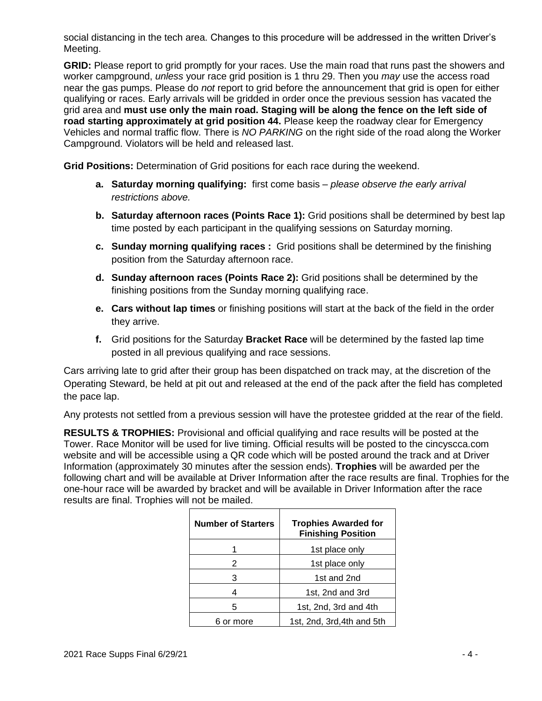social distancing in the tech area. Changes to this procedure will be addressed in the written Driver's Meeting.

**GRID:** Please report to grid promptly for your races. Use the main road that runs past the showers and worker campground, *unless* your race grid position is 1 thru 29. Then you *may* use the access road near the gas pumps. Please do *not* report to grid before the announcement that grid is open for either qualifying or races. Early arrivals will be gridded in order once the previous session has vacated the grid area and **must use only the main road. Staging will be along the fence on the left side of road starting approximately at grid position 44.** Please keep the roadway clear for Emergency Vehicles and normal traffic flow. There is *NO PARKING* on the right side of the road along the Worker Campground. Violators will be held and released last.

**Grid Positions:** Determination of Grid positions for each race during the weekend.

- **a. Saturday morning qualifying:** first come basis *please observe the early arrival restrictions above.*
- **b. Saturday afternoon races (Points Race 1):** Grid positions shall be determined by best lap time posted by each participant in the qualifying sessions on Saturday morning.
- **c. Sunday morning qualifying races :** Grid positions shall be determined by the finishing position from the Saturday afternoon race.
- **d. Sunday afternoon races (Points Race 2):** Grid positions shall be determined by the finishing positions from the Sunday morning qualifying race.
- **e. Cars without lap times** or finishing positions will start at the back of the field in the order they arrive.
- **f.** Grid positions for the Saturday **Bracket Race** will be determined by the fasted lap time posted in all previous qualifying and race sessions.

Cars arriving late to grid after their group has been dispatched on track may, at the discretion of the Operating Steward, be held at pit out and released at the end of the pack after the field has completed the pace lap.

Any protests not settled from a previous session will have the protestee gridded at the rear of the field.

**RESULTS & TROPHIES:** Provisional and official qualifying and race results will be posted at the Tower. Race Monitor will be used for live timing. Official results will be posted to the cincyscca.com website and will be accessible using a QR code which will be posted around the track and at Driver Information (approximately 30 minutes after the session ends). **Trophies** will be awarded per the following chart and will be available at Driver Information after the race results are final. Trophies for the one-hour race will be awarded by bracket and will be available in Driver Information after the race results are final. Trophies will not be mailed.

| <b>Number of Starters</b> | <b>Trophies Awarded for</b><br><b>Finishing Position</b> |
|---------------------------|----------------------------------------------------------|
|                           | 1st place only                                           |
| 2                         | 1st place only                                           |
| 3                         | 1st and 2nd                                              |
|                           | 1st, 2nd and 3rd                                         |
| 5                         | 1st, 2nd, 3rd and 4th                                    |
| 6 or more                 | 1st, 2nd, 3rd, 4th and 5th                               |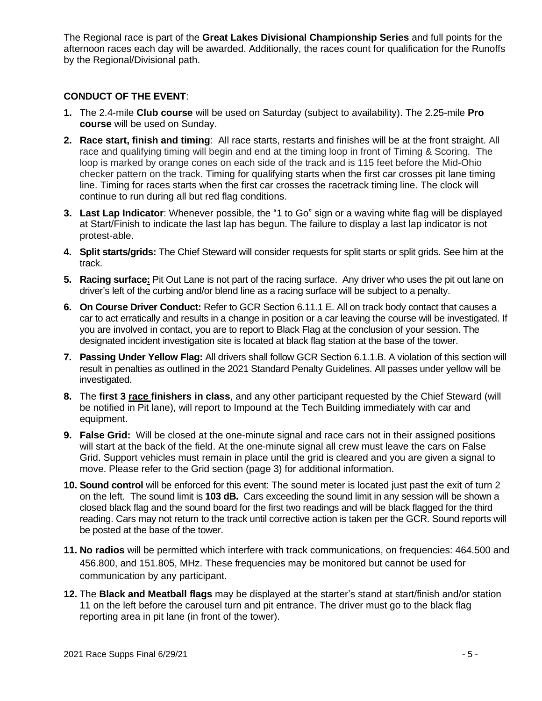The Regional race is part of the **Great Lakes Divisional Championship Series** and full points for the afternoon races each day will be awarded. Additionally, the races count for qualification for the Runoffs by the Regional/Divisional path.

# **CONDUCT OF THE EVENT**:

- **1.** The 2.4-mile **Club course** will be used on Saturday (subject to availability). The 2.25-mile **Pro course** will be used on Sunday.
- **2. Race start, finish and timing**: All race starts, restarts and finishes will be at the front straight. All race and qualifying timing will begin and end at the timing loop in front of Timing & Scoring. The loop is marked by orange cones on each side of the track and is 115 feet before the Mid-Ohio checker pattern on the track. Timing for qualifying starts when the first car crosses pit lane timing line. Timing for races starts when the first car crosses the racetrack timing line. The clock will continue to run during all but red flag conditions.
- **3. Last Lap Indicator**: Whenever possible, the "1 to Go" sign or a waving white flag will be displayed at Start/Finish to indicate the last lap has begun. The failure to display a last lap indicator is not protest-able.
- **4. Split starts/grids:** The Chief Steward will consider requests for split starts or split grids. See him at the track.
- **5. Racing surface:** Pit Out Lane is not part of the racing surface. Any driver who uses the pit out lane on driver's left of the curbing and/or blend line as a racing surface will be subject to a penalty.
- **6. On Course Driver Conduct:** Refer to GCR Section 6.11.1 E. All on track body contact that causes a car to act erratically and results in a change in position or a car leaving the course will be investigated. If you are involved in contact, you are to report to Black Flag at the conclusion of your session. The designated incident investigation site is located at black flag station at the base of the tower.
- **7. Passing Under Yellow Flag:** All drivers shall follow GCR Section 6.1.1.B. A violation of this section will result in penalties as outlined in the 2021 Standard Penalty Guidelines. All passes under yellow will be investigated.
- **8.** The **first 3 race finishers in class**, and any other participant requested by the Chief Steward (will be notified in Pit lane), will report to Impound at the Tech Building immediately with car and equipment.
- **9. False Grid:** Will be closed at the one-minute signal and race cars not in their assigned positions will start at the back of the field. At the one-minute signal all crew must leave the cars on False Grid. Support vehicles must remain in place until the grid is cleared and you are given a signal to move. Please refer to the Grid section (page 3) for additional information.
- **10. Sound control** will be enforced for this event: The sound meter is located just past the exit of turn 2 on the left.The sound limit is **103 dB.** Cars exceeding the sound limit in any session will be shown a closed black flag and the sound board for the first two readings and will be black flagged for the third reading. Cars may not return to the track until corrective action is taken per the GCR. Sound reports will be posted at the base of the tower.
- **11. No radios** will be permitted which interfere with track communications, on frequencies: 464.500 and 456.800, and 151.805, MHz. These frequencies may be monitored but cannot be used for communication by any participant.
- **12.** The **Black and Meatball flags** may be displayed at the starter's stand at start/finish and/or station 11 on the left before the carousel turn and pit entrance. The driver must go to the black flag reporting area in pit lane (in front of the tower).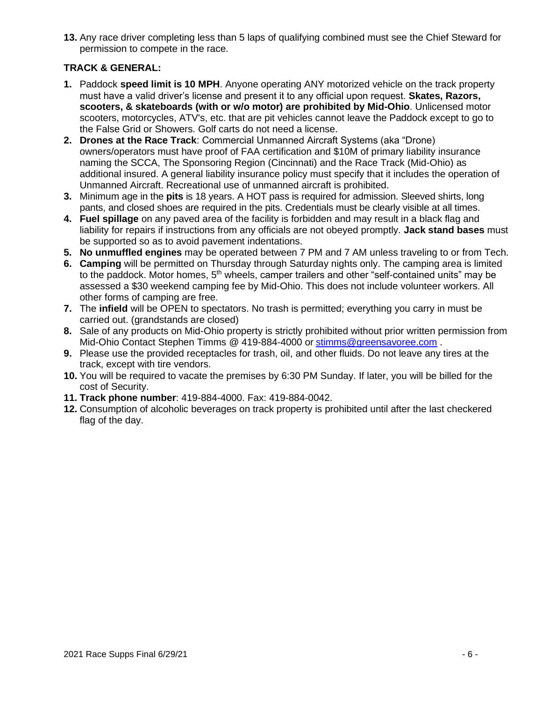**13.** Any race driver completing less than 5 laps of qualifying combined must see the Chief Steward for permission to compete in the race.

# **TRACK & GENERAL:**

- **1.** Paddock **speed limit is 10 MPH**. Anyone operating ANY motorized vehicle on the track property must have a valid driver's license and present it to any official upon request. **Skates, Razors, scooters, & skateboards (with or w/o motor) are prohibited by Mid-Ohio**. Unlicensed motor scooters, motorcycles, ATV's, etc. that are pit vehicles cannot leave the Paddock except to go to the False Grid or Showers. Golf carts do not need a license.
- **2. Drones at the Race Track**: Commercial Unmanned Aircraft Systems (aka "Drone) owners/operators must have proof of FAA certification and \$10M of primary liability insurance naming the SCCA, The Sponsoring Region (Cincinnati) and the Race Track (Mid-Ohio) as additional insured. A general liability insurance policy must specify that it includes the operation of Unmanned Aircraft. Recreational use of unmanned aircraft is prohibited.
- **3.** Minimum age in the **pits** is 18 years. A HOT pass is required for admission. Sleeved shirts, long pants, and closed shoes are required in the pits. Credentials must be clearly visible at all times.
- **4. Fuel spillage** on any paved area of the facility is forbidden and may result in a black flag and liability for repairs if instructions from any officials are not obeyed promptly. **Jack stand bases** must be supported so as to avoid pavement indentations.
- **5. No unmuffled engines** may be operated between 7 PM and 7 AM unless traveling to or from Tech.
- **6. Camping** will be permitted on Thursday through Saturday nights only. The camping area is limited to the paddock. Motor homes,  $5<sup>th</sup>$  wheels, camper trailers and other "self-contained units" may be assessed a \$30 weekend camping fee by Mid-Ohio. This does not include volunteer workers. All other forms of camping are free.
- **7.** The **infield** will be OPEN to spectators. No trash is permitted; everything you carry in must be carried out. (grandstands are closed)
- **8.** Sale of any products on Mid-Ohio property is strictly prohibited without prior written permission from Mid-Ohio Contact Stephen Timms @ 419-884-4000 or [stimms@greensavoree.com](mailto:stimms@greensavoree.com) .
- **9.** Please use the provided receptacles for trash, oil, and other fluids. Do not leave any tires at the track, except with tire vendors.
- **10.** You will be required to vacate the premises by 6:30 PM Sunday. If later, you will be billed for the cost of Security.
- **11. Track phone number**: 419-884-4000. Fax: 419-884-0042.
- **12.** Consumption of alcoholic beverages on track property is prohibited until after the last checkered flag of the day.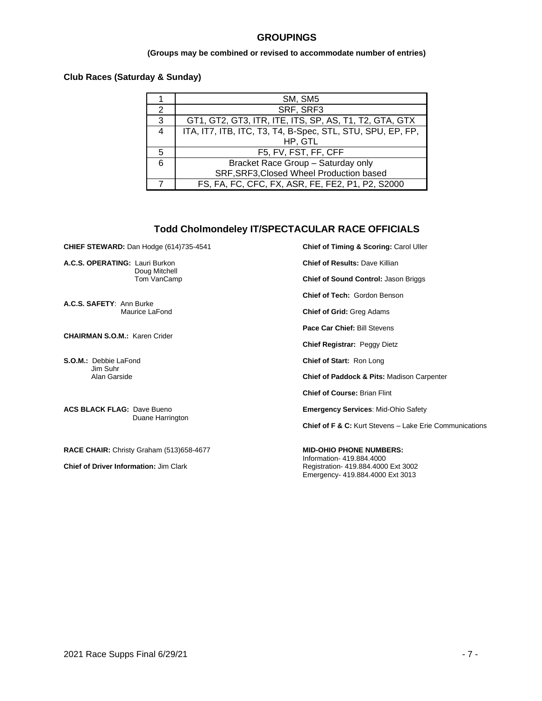#### **GROUPINGS**

#### **(Groups may be combined or revised to accommodate number of entries)**

#### **Club Races (Saturday & Sunday)**

|                | SM, SM5                                                    |
|----------------|------------------------------------------------------------|
| $\mathcal{P}$  | SRF, SRF3                                                  |
| 3              | GT1, GT2, GT3, ITR, ITE, ITS, SP, AS, T1, T2, GTA, GTX     |
| $\overline{4}$ | ITA, IT7, ITB, ITC, T3, T4, B-Spec, STL, STU, SPU, EP, FP, |
|                | HP, GTL                                                    |
| 5.             | F5, FV, FST, FF, CFF                                       |
| 6              | Bracket Race Group - Saturday only                         |
|                | SRF, SRF3, Closed Wheel Production based                   |
|                | FS, FA, FC, CFC, FX, ASR, FE, FE2, P1, P2, S2000           |

#### **Todd Cholmondeley IT/SPECTACULAR RACE OFFICIALS**

**CHIEF STEWARD:** Dan Hodge (614)735-4541

**A.C.S. OPERATING:** Lauri Burkon Doug Mitchell Tom VanCamp

**A.C.S. SAFETY**: Ann Burke Maurice LaFond

**CHAIRMAN S.O.M.:** Karen Crider

**S.O.M.:** Debbie LaFond Jim Suhr Alan Garside

**ACS BLACK FLAG:** Dave Bueno Duane Harrington

**RACE CHAIR:** Christy Graham (513)658-4677

**Chief of Driver Information:** Jim Clark

**Chief of Timing & Scoring:** Carol Uller

**Chief of Results:** Dave Killian

**Chief of Sound Control:** Jason Briggs

**Chief of Tech:** Gordon Benson

**Chief of Grid:** Greg Adams

**Pace Car Chief:** Bill Stevens

**Chief Registrar:** Peggy Dietz

**Chief of Start:** Ron Long

**Chief of Paddock & Pits:** Madison Carpenter

**Chief of Course:** Brian Flint

**Emergency Services**: Mid-Ohio Safety

**Chief of F & C:** Kurt Stevens – Lake Erie Communications

**MID-OHIO PHONE NUMBERS:** Information- 419.884.4000 Registration- 419.884.4000 Ext 3002 Emergency- 419.884.4000 Ext 3013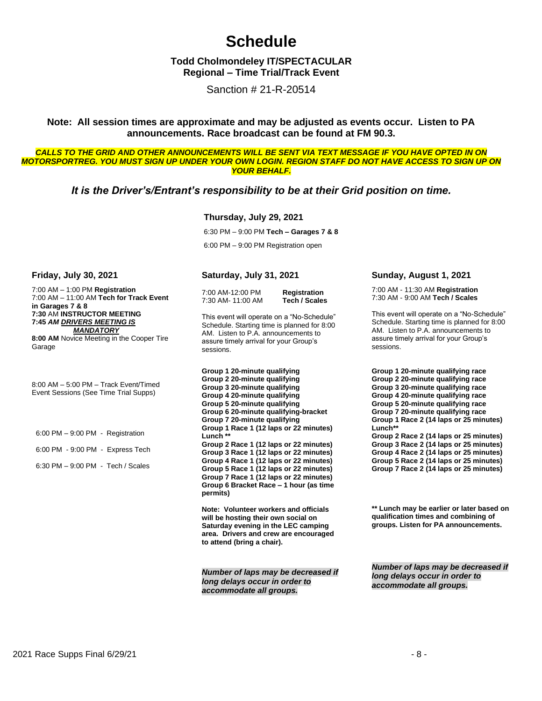# **Schedule**

## **Todd Cholmondeley IT/SPECTACULAR Regional – Time Trial/Track Event**

Sanction # 21-R-20514

#### **Note: All session times are approximate and may be adjusted as events occur. Listen to PA announcements. Race broadcast can be found at FM 90.3.**

*CALLS TO THE GRID AND OTHER ANNOUNCEMENTS WILL BE SENT VIA TEXT MESSAGE IF YOU HAVE OPTED IN ON MOTORSPORTREG. YOU MUST SIGN UP UNDER YOUR OWN LOGIN. REGION STAFF DO NOT HAVE ACCESS TO SIGN UP ON YOUR BEHALF.*

## *It is the Driver's/Entrant's responsibility to be at their Grid position on time.*

#### **Thursday, July 29, 2021**

6:30 PM – 9:00 PM **Tech – Garages 7 & 8** 6:00 PM – 9:00 PM Registration open

#### **Friday, July 30, 2021**

7:00 AM – 1:00 PM **Registration** 7:00 AM – 11:00 AM **Tech for Track Event in Garages 7 & 8 7:30** AM **INSTRUCTOR MEETING 7:45** *AM DRIVERS MEETING IS MANDATORY* **8:00 AM** Novice Meeting in the Cooper Tire Garage

8:00 AM – 5:00 PM – Track Event/Timed Event Sessions (See Time Trial Supps)

6:00 PM – 9:00 PM - Registration 6:00 PM - 9:00 PM - Express Tech 6:30 PM – 9:00 PM - Tech / Scales

#### **Saturday, July 31, 2021**

7:00 AM-12:00 PM **Registration** 7:30 AM- 11:00 AM

This event will operate on a "No-Schedule" Schedule. Starting time is planned for 8:00 AM. Listen to P.A. announcements to assure timely arrival for your Group's sessions.

**Group 1 20-minute qualifying Group 2 20-minute qualifying Group 3 20-minute qualifying Group 4 20-minute qualifying Group 5 20-minute qualifying Group 6 20-minute qualifying-bracket Group 7 20-minute qualifying Group 1 Race 1 (12 laps or 22 minutes) Lunch \*\* Group 2 Race 1 (12 laps or 22 minutes) Group 3 Race 1 (12 laps or 22 minutes) Group 4 Race 1 (12 laps or 22 minutes) Group 5 Race 1 (12 laps or 22 minutes) Group 7 Race 1 (12 laps or 22 minutes) Group 6 Bracket Race – 1 hour (as time permits)**

**Note: Volunteer workers and officials will be hosting their own social on Saturday evening in the LEC camping area. Drivers and crew are encouraged to attend (bring a chair).**

*Number of laps may be decreased if long delays occur in order to accommodate all groups.*

#### **Sunday, August 1, 2021**

7:00 AM - 11:30 AM **Registration** 7:30 AM - 9:00 AM **Tech / Scales**

This event will operate on a "No-Schedule" Schedule. Starting time is planned for 8:00 AM. Listen to P.A. announcements to assure timely arrival for your Group's sessions.

**Group 1 20-minute qualifying race Group 2 20-minute qualifying race Group 3 20-minute qualifying race Group 4 20-minute qualifying race Group 5 20-minute qualifying race Group 7 20-minute qualifying race Group 1 Race 2 (14 laps or 25 minutes) Lunch\*\* Group 2 Race 2 (14 laps or 25 minutes) Group 3 Race 2 (14 laps or 25 minutes) Group 4 Race 2 (14 laps or 25 minutes) Group 5 Race 2 (14 laps or 25 minutes) Group 7 Race 2 (14 laps or 25 minutes)**

**\*\* Lunch may be earlier or later based on qualification times and combining of groups. Listen for PA announcements.**

*Number of laps may be decreased if long delays occur in order to accommodate all groups.*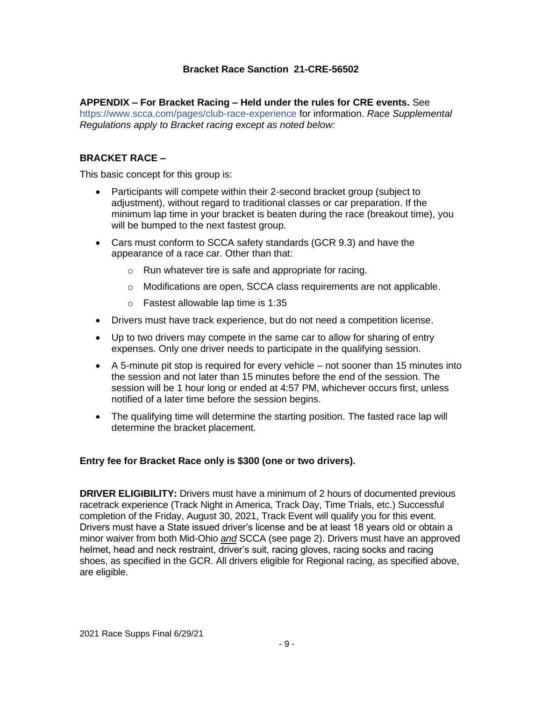# **Bracket Race Sanction 21-CRE-56502**

## **APPENDIX – For Bracket Racing – Held under the rules for CRE events.** See

https://www.scca.com/pages/club-race-experience for information. *Race Supplemental Regulations apply to Bracket racing except as noted below:*

# **BRACKET RACE –**

This basic concept for this group is:

- Participants will compete within their 2-second bracket group (subject to adjustment), without regard to traditional classes or car preparation. If the minimum lap time in your bracket is beaten during the race (breakout time), you will be bumped to the next fastest group.
- Cars must conform to SCCA safety standards (GCR 9.3) and have the appearance of a race car. Other than that:
	- o Run whatever tire is safe and appropriate for racing.
	- o Modifications are open, SCCA class requirements are not applicable.
	- o Fastest allowable lap time is 1:35
- Drivers must have track experience, but do not need a competition license.
- Up to two drivers may compete in the same car to allow for sharing of entry expenses. Only one driver needs to participate in the qualifying session.
- A 5-minute pit stop is required for every vehicle not sooner than 15 minutes into the session and not later than 15 minutes before the end of the session. The session will be 1 hour long or ended at 4:57 PM, whichever occurs first, unless notified of a later time before the session begins.
- The qualifying time will determine the starting position. The fasted race lap will determine the bracket placement.

## **Entry fee for Bracket Race only is \$300 (one or two drivers).**

**DRIVER ELIGIBILITY:** Drivers must have a minimum of 2 hours of documented previous racetrack experience (Track Night in America, Track Day, Time Trials, etc.) Successful completion of the Friday, August 30, 2021, Track Event will qualify you for this event. Drivers must have a State issued driver's license and be at least 18 years old or obtain a minor waiver from both Mid-Ohio *and* SCCA (see page 2). Drivers must have an approved helmet, head and neck restraint, driver's suit, racing gloves, racing socks and racing shoes, as specified in the GCR. All drivers eligible for Regional racing, as specified above, are eligible.